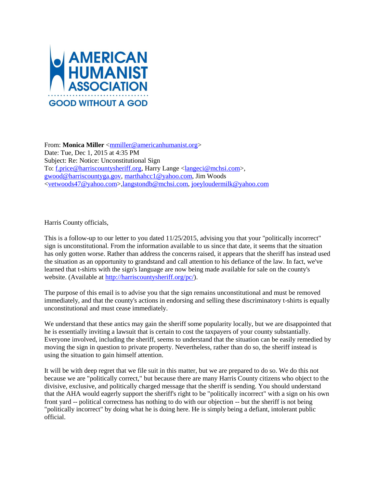

From: **Monica Miller** [<mmiller@americanhumanist.org>](mailto:mmiller@americanhumanist.org) Date: Tue, Dec 1, 2015 at 4:35 PM Subject: Re: Notice: Unconstitutional Sign To: [f.price@harriscountysheriff.org,](mailto:f.price@harriscountysheriff.org) Harry Lange [<langeci@mchsi.com>](mailto:langeci@mchsi.com), [gwood@harriscountyga.gov,](mailto:gwood@harriscountyga.gov) [marthahcc1@yahoo.com,](mailto:marthahcc1@yahoo.com) Jim Woods [<vetwoods47@yahoo.com>](mailto:vetwoods47@yahoo.com)[,langstondb@mchsi.com,](mailto:langstondb@mchsi.com) [joeyloudermilk@yahoo.com](mailto:joeyloudermilk@yahoo.com)

Harris County officials,

This is a follow-up to our letter to you dated 11/25/2015, advising you that your "politically incorrect" sign is unconstitutional. From the information available to us since that date, it seems that the situation has only gotten worse. Rather than address the concerns raised, it appears that the sheriff has instead used the situation as an opportunity to grandstand and call attention to his defiance of the law. In fact, we've learned that t-shirts with the sign's language are now being made available for sale on the county's website. (Available at [http://harriscountysheriff.org/pc/\)](http://harriscountysheriff.org/pc/).

The purpose of this email is to advise you that the sign remains unconstitutional and must be removed immediately, and that the county's actions in endorsing and selling these discriminatory t-shirts is equally unconstitutional and must cease immediately.

We understand that these antics may gain the sheriff some popularity locally, but we are disappointed that he is essentially inviting a lawsuit that is certain to cost the taxpayers of your county substantially. Everyone involved, including the sheriff, seems to understand that the situation can be easily remedied by moving the sign in question to private property. Nevertheless, rather than do so, the sheriff instead is using the situation to gain himself attention.

It will be with deep regret that we file suit in this matter, but we are prepared to do so. We do this not because we are "politically correct," but because there are many Harris County citizens who object to the divisive, exclusive, and politically charged message that the sheriff is sending. You should understand that the AHA would eagerly support the sheriff's right to be "politically incorrect" with a sign on his own front yard -- political correctness has nothing to do with our objection -- but the sheriff is not being "politically incorrect" by doing what he is doing here. He is simply being a defiant, intolerant public official.